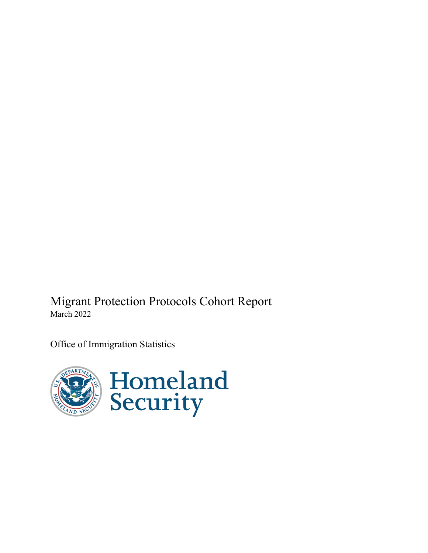Migrant Protection Protocols Cohort Report March 2022

Office of Immigration Statistics

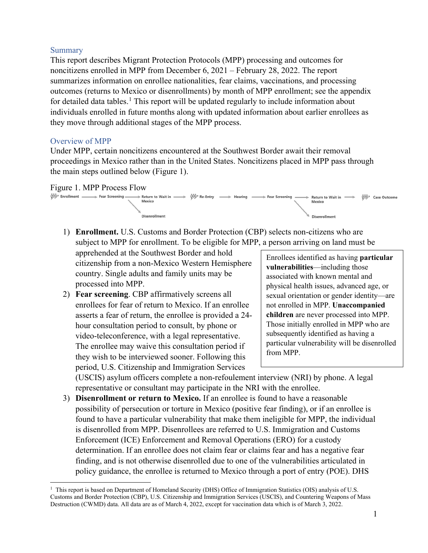#### Summary

This report describes Migrant Protection Protocols (MPP) processing and outcomes for noncitizens enrolled in MPP from December 6, 2021 – February 28, 2022. The report summarizes information on enrollee nationalities, fear claims, vaccinations, and processing outcomes (returns to Mexico or disenrollments) by month of MPP enrollment; see the appendix for detailed data tables.<sup>[1](#page-1-0)</sup> This report will be updated regularly to include information about individuals enrolled in future months along with updated information about earlier enrollees as they move through additional stages of the MPP process.

#### Overview of MPP

Under MPP, certain noncitizens encountered at the Southwest Border await their removal proceedings in Mexico rather than in the United States. Noncitizens placed in MPP pass through the main steps outlined below (Figure 1).



1) **Enrollment.** U.S. Customs and Border Protection (CBP) selects non-citizens who are subject to MPP for enrollment. To be eligible for MPP, a person arriving on land must be

apprehended at the Southwest Border and hold citizenship from a non-Mexico Western Hemisphere country. Single adults and family units may be processed into MPP.

2) **Fear screening**. CBP affirmatively screens all enrollees for fear of return to Mexico. If an enrollee asserts a fear of return, the enrollee is provided a 24 hour consultation period to consult, by phone or video-teleconference, with a legal representative. The enrollee may waive this consultation period if they wish to be interviewed sooner. Following this period, U.S. Citizenship and Immigration Services

Enrollees identified as having **particular vulnerabilities**—including those associated with known mental and physical health issues, advanced age, or sexual orientation or gender identity—are not enrolled in MPP. **Unaccompanied children** are never processed into MPP. Those initially enrolled in MPP who are subsequently identified as having a particular vulnerability will be disenrolled from MPP.

(USCIS) asylum officers complete a non-refoulement interview (NRI) by phone. A legal representative or consultant may participate in the NRI with the enrollee.

3) **Disenrollment or return to Mexico.** If an enrollee is found to have a reasonable possibility of persecution or torture in Mexico (positive fear finding), or if an enrollee is found to have a particular vulnerability that make them ineligible for MPP, the individual is disenrolled from MPP. Disenrollees are referred to U.S. Immigration and Customs Enforcement (ICE) Enforcement and Removal Operations (ERO) for a custody determination. If an enrollee does not claim fear or claims fear and has a negative fear finding, and is not otherwise disenrolled due to one of the vulnerabilities articulated in policy guidance, the enrollee is returned to Mexico through a port of entry (POE). DHS

<span id="page-1-0"></span><sup>&</sup>lt;sup>1</sup> This report is based on Department of Homeland Security (DHS) Office of Immigration Statistics (OIS) analysis of U.S. Customs and Border Protection (CBP), U.S. Citizenship and Immigration Services (USCIS), and Countering Weapons of Mass Destruction (CWMD) data. All data are as of March 4, 2022, except for vaccination data which is of March 3, 2022.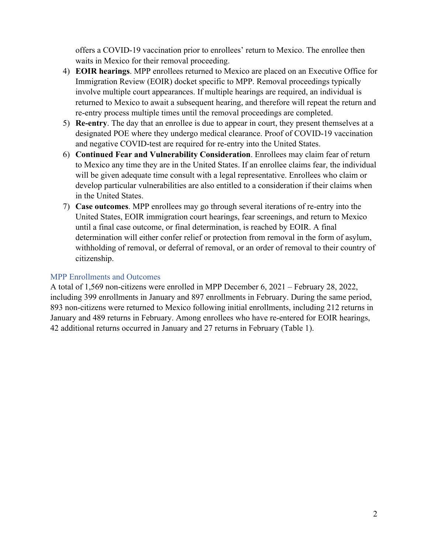offers a COVID-19 vaccination prior to enrollees' return to Mexico. The enrollee then waits in Mexico for their removal proceeding.

- 4) **EOIR hearings**. MPP enrollees returned to Mexico are placed on an Executive Office for Immigration Review (EOIR) docket specific to MPP. Removal proceedings typically involve multiple court appearances. If multiple hearings are required, an individual is returned to Mexico to await a subsequent hearing, and therefore will repeat the return and re-entry process multiple times until the removal proceedings are completed.
- 5) **Re-entry**. The day that an enrollee is due to appear in court, they present themselves at a designated POE where they undergo medical clearance. Proof of COVID-19 vaccination and negative COVID-test are required for re-entry into the United States.
- 6) **Continued Fear and Vulnerability Consideration**. Enrollees may claim fear of return to Mexico any time they are in the United States. If an enrollee claims fear, the individual will be given adequate time consult with a legal representative. Enrollees who claim or develop particular vulnerabilities are also entitled to a consideration if their claims when in the United States.
- 7) **Case outcomes**. MPP enrollees may go through several iterations of re-entry into the United States, EOIR immigration court hearings, fear screenings, and return to Mexico until a final case outcome, or final determination, is reached by EOIR. A final determination will either confer relief or protection from removal in the form of asylum, withholding of removal, or deferral of removal, or an order of removal to their country of citizenship.

#### MPP Enrollments and Outcomes

A total of 1,569 non-citizens were enrolled in MPP December 6, 2021 – February 28, 2022, including 399 enrollments in January and 897 enrollments in February. During the same period, 893 non-citizens were returned to Mexico following initial enrollments, including 212 returns in January and 489 returns in February. Among enrollees who have re-entered for EOIR hearings, 42 additional returns occurred in January and 27 returns in February (Table 1).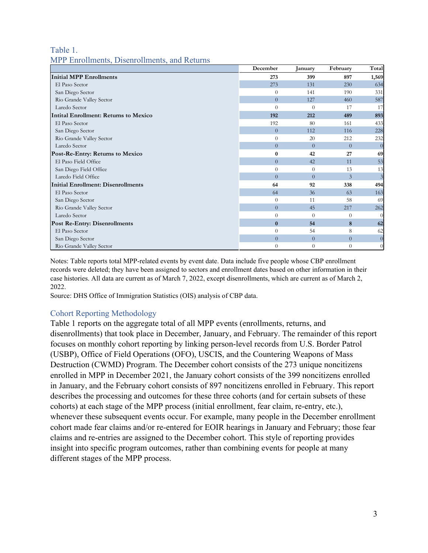#### Table 1. MPP Enrollments, Disenrollments, and Returns

|                                           | December         | January        | February       | Total          |
|-------------------------------------------|------------------|----------------|----------------|----------------|
| <b>Initial MPP Enrollments</b>            | 273              | 399            | 897            | 1,569          |
| El Paso Sector                            | 273              | 131            | 230            | 634            |
| San Diego Sector                          | $\theta$         | 141            | 190            | 331            |
| Rio Grande Valley Sector                  | $\overline{0}$   | 127            | 460            | 587            |
| Laredo Sector                             | $\theta$         | $\Omega$       | 17             | 17             |
| Intital Enrollment: Returns to Mexico     | 192              | 212            | 489            | 893            |
| El Paso Sector                            | 192              | 80             | 161            | 433            |
| San Diego Sector                          | $\overline{0}$   | 112            | 116            | 228            |
| Rio Grande Valley Sector                  | $\theta$         | 20             | 212            | 232            |
| Laredo Sector                             | $\overline{0}$   | $\theta$       | $\overline{0}$ | $\overline{0}$ |
| Post-Re-Entry: Returns to Mexico          | $\boldsymbol{0}$ | 42             | 27             | 69             |
| El Paso Field Office                      | $\overline{0}$   | 42             | 11             | 53             |
| San Diego Field Office                    | $\theta$         | $\Omega$       | 13             | 13             |
| Laredo Field Office                       | $\theta$         | $\Omega$       | 3              | $\mathfrak{Z}$ |
| <b>Initial Enrollment: Disenrollments</b> | 64               | 92             | 338            | 494            |
| El Paso Sector                            | 64               | 36             | 63             | 163            |
| San Diego Sector                          | $\theta$         | 11             | 58             | 69             |
| Rio Grande Valley Sector                  | $\overline{0}$   | 45             | 217            | 262            |
| Laredo Sector                             | $\theta$         | $\Omega$       | $\overline{0}$ | $\Omega$       |
| <b>Post Re-Entry: Disenrollments</b>      | $\bf{0}$         | 54             | 8              | 62             |
| El Paso Sector                            | $\theta$         | 54             | 8              | 62             |
| San Diego Sector                          | $\overline{0}$   | $\overline{0}$ | $\overline{0}$ | $\overline{0}$ |
| Rio Grande Valley Sector                  | $\theta$         | $\theta$       | $\overline{0}$ | $\overline{0}$ |

Notes: Table reports total MPP-related events by event date. Data include five people whose CBP enrollment records were deleted; they have been assigned to sectors and enrollment dates based on other information in their case histories. All data are current as of March 7, 2022, except disenrollments, which are current as of March 2, 2022.

Source: DHS Office of Immigration Statistics (OIS) analysis of CBP data.

#### Cohort Reporting Methodology

Table 1 reports on the aggregate total of all MPP events (enrollments, returns, and disenrollments) that took place in December, January, and February. The remainder of this report focuses on monthly cohort reporting by linking person-level records from U.S. Border Patrol (USBP), Office of Field Operations (OFO), USCIS, and the Countering Weapons of Mass Destruction (CWMD) Program. The December cohort consists of the 273 unique noncitizens enrolled in MPP in December 2021, the January cohort consists of the 399 noncitizens enrolled in January, and the February cohort consists of 897 noncitizens enrolled in February. This report describes the processing and outcomes for these three cohorts (and for certain subsets of these cohorts) at each stage of the MPP process (initial enrollment, fear claim, re-entry, etc.), whenever these subsequent events occur. For example, many people in the December enrollment cohort made fear claims and/or re-entered for EOIR hearings in January and February; those fear claims and re-entries are assigned to the December cohort. This style of reporting provides insight into specific program outcomes, rather than combining events for people at many different stages of the MPP process.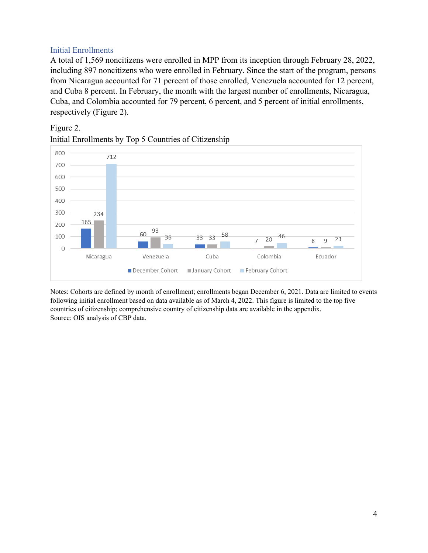#### Initial Enrollments

A total of 1,569 noncitizens were enrolled in MPP from its inception through February 28, 2022, including 897 noncitizens who were enrolled in February. Since the start of the program, persons from Nicaragua accounted for 71 percent of those enrolled, Venezuela accounted for 12 percent, and Cuba 8 percent. In February, the month with the largest number of enrollments, Nicaragua, Cuba, and Colombia accounted for 79 percent, 6 percent, and 5 percent of initial enrollments, respectively (Figure 2).

#### Figure 2.





Notes: Cohorts are defined by month of enrollment; enrollments began December 6, 2021. Data are limited to events following initial enrollment based on data available as of March 4, 2022. This figure is limited to the top five countries of citizenship; comprehensive country of citizenship data are available in the appendix. Source: OIS analysis of CBP data.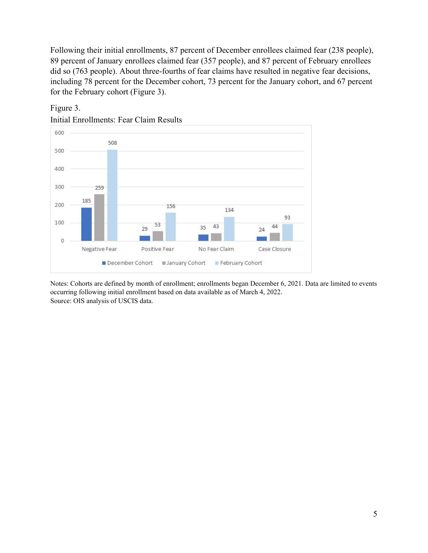Following their initial enrollments, 87 percent of December enrollees claimed fear (238 people), 89 percent of January enrollees claimed fear (357 people), and 87 percent of February enrollees did so (763 people). About three-fourths of fear claims have resulted in negative fear decisions, including 78 percent for the December cohort, 73 percent for the January cohort, and 67 percent for the February cohort (Figure 3).



#### Figure 3.

Initial Enrollments: Fear Claim Results

Notes: Cohorts are defined by month of enrollment; enrollments began December 6, 2021. Data are limited to events occurring following initial enrollment based on data available as of March 4, 2022. Source: OIS analysis of USCIS data.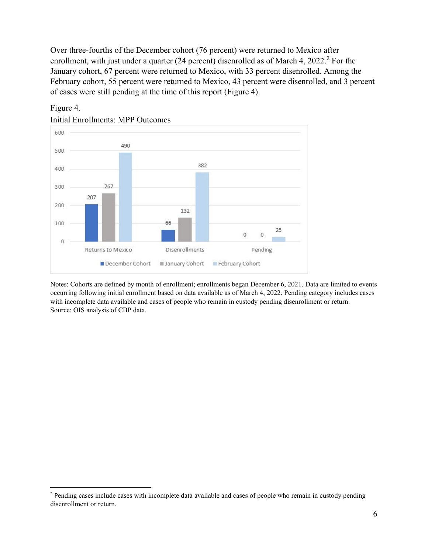Over three-fourths of the December cohort (76 percent) were returned to Mexico after enrollment, with just under a quarter ([2](#page-6-0)4 percent) disenrolled as of March 4,  $2022.^2$  For the January cohort, 67 percent were returned to Mexico, with 33 percent disenrolled. Among the February cohort, 55 percent were returned to Mexico, 43 percent were disenrolled, and 3 percent of cases were still pending at the time of this report (Figure 4).



Figure 4.

Notes: Cohorts are defined by month of enrollment; enrollments began December 6, 2021. Data are limited to events occurring following initial enrollment based on data available as of March 4, 2022. Pending category includes cases with incomplete data available and cases of people who remain in custody pending disenrollment or return. Source: OIS analysis of CBP data.

<span id="page-6-0"></span><sup>&</sup>lt;sup>2</sup> Pending cases include cases with incomplete data available and cases of people who remain in custody pending disenrollment or return.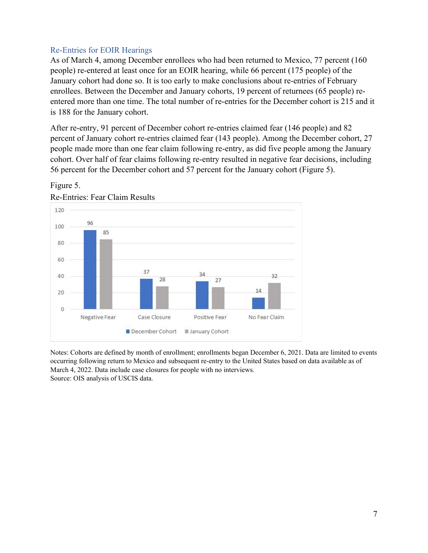#### Re-Entries for EOIR Hearings

As of March 4, among December enrollees who had been returned to Mexico, 77 percent (160 people) re-entered at least once for an EOIR hearing, while 66 percent (175 people) of the January cohort had done so. It is too early to make conclusions about re-entries of February enrollees. Between the December and January cohorts, 19 percent of returnees (65 people) reentered more than one time. The total number of re-entries for the December cohort is 215 and it is 188 for the January cohort.

After re-entry, 91 percent of December cohort re-entries claimed fear (146 people) and 82 percent of January cohort re-entries claimed fear (143 people). Among the December cohort, 27 people made more than one fear claim following re-entry, as did five people among the January cohort. Over half of fear claims following re-entry resulted in negative fear decisions, including 56 percent for the December cohort and 57 percent for the January cohort (Figure 5).



# Figure 5.

Notes: Cohorts are defined by month of enrollment; enrollments began December 6, 2021. Data are limited to events occurring following return to Mexico and subsequent re-entry to the United States based on data available as of March 4, 2022. Data include case closures for people with no interviews. Source: OIS analysis of USCIS data.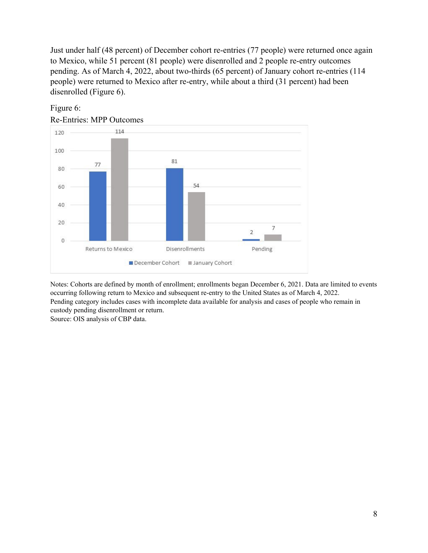Just under half (48 percent) of December cohort re-entries (77 people) were returned once again to Mexico, while 51 percent (81 people) were disenrolled and 2 people re-entry outcomes pending. As of March 4, 2022, about two-thirds (65 percent) of January cohort re-entries (114 people) were returned to Mexico after re-entry, while about a third (31 percent) had been disenrolled (Figure 6).



#### Figure 6:

Re-Entries: MPP Outcomes

Notes: Cohorts are defined by month of enrollment; enrollments began December 6, 2021. Data are limited to events occurring following return to Mexico and subsequent re-entry to the United States as of March 4, 2022. Pending category includes cases with incomplete data available for analysis and cases of people who remain in custody pending disenrollment or return. Source: OIS analysis of CBP data.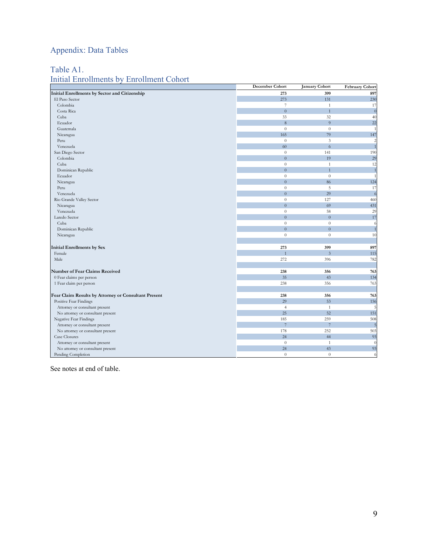# Appendix: Data Tables

### Table A1.

## Initial Enrollments by Enrollment Cohort

|                                                      | December Cohort  | <b>January Cohort</b> | <b>February Cohort</b> |
|------------------------------------------------------|------------------|-----------------------|------------------------|
| Initial Enrollments by Sector and Citizenship        | 273              | 399                   | 897                    |
| El Paso Sector                                       | 273              | 131                   | 230                    |
| Colombia                                             | 7                | $\mathbf{1}$          | 17                     |
| Costa Rica                                           | $\overline{0}$   | $\overline{1}$        | $\mathcal{C}$          |
| Cuba                                                 | 33               | 32                    | 40                     |
| Ecuador                                              | 8                | 9                     | 22                     |
| Guatemala                                            | $\theta$         | $\theta$              |                        |
| Nicaragua                                            | 165              | 79                    | 147                    |
| Peru                                                 | $\theta$         | $\mathfrak{Z}$        | 2                      |
| Venezuela                                            | 60               | 6                     |                        |
| San Diego Sector                                     | $\boldsymbol{0}$ | 141                   | 190                    |
| Colombia                                             | $\overline{0}$   | 19                    | 29                     |
| Cuba                                                 | $\overline{0}$   | $\mathbf{1}$          | 12                     |
| Dominican Republic                                   | $\overline{0}$   | $\overline{1}$        |                        |
| Ecuador                                              | $\boldsymbol{0}$ | $\theta$              |                        |
| Nicaragua                                            | $\overline{0}$   | 86                    | 124                    |
| Peru                                                 | $\boldsymbol{0}$ | $\sqrt{5}$            | 17                     |
| Venezuela                                            | $\overline{0}$   | 29                    | 6                      |
| Rio Grande Valley Sector                             | $\theta$         | 127                   | 460                    |
| Nicaragua                                            | $\overline{0}$   | 69                    | 431                    |
| Venezuela                                            | $\overline{0}$   | 58                    | 29                     |
| Laredo Sector                                        | $\overline{0}$   | $\overline{0}$        | 17                     |
| Cuba                                                 | $\overline{0}$   | $\theta$              | 6                      |
| Dominican Republic                                   | $\overline{0}$   | $\overline{0}$        | 1                      |
| Nicaragua                                            | $\overline{0}$   | $\theta$              | 10                     |
|                                                      |                  |                       |                        |
| <b>Initial Enrollments by Sex</b>                    | 273              | 399                   | 897                    |
| Female                                               | $\overline{1}$   | $\overline{3}$        | 115                    |
| Male                                                 | 272              | 396                   | 782                    |
|                                                      |                  |                       |                        |
| Number of Fear Claims Received                       | 238              | 356                   | 763                    |
| 0 Fear claims per person                             | 35               | 43                    | 134                    |
| 1 Fear claim per person                              | 238              | 356                   | 763                    |
|                                                      |                  |                       |                        |
| Fear Claim Results by Attorney or Consultant Present | 238              | 356                   | 763                    |
| Positive Fear Findings                               | 29               | 53                    | 156                    |
| Attorney or consultant present                       | $\overline{4}$   | $\mathbf{1}$          | 5                      |
| No attorney or consultant present                    | 25               | 52                    | 151                    |
| Negative Fear Findings                               | 185              | 259                   | 508                    |
| Attorney or consultant present                       | $\overline{7}$   | $\overline{7}$        | 5                      |
| No attorney or consultant present                    | 178              | 252                   | 503                    |
| Case Closures                                        | 24               | 44                    | 93                     |
| Attorney or consultant present                       | $\theta$         | $\mathbf{1}$          | $\theta$               |
| No attorney or consultant present                    | 24               | 43                    | 93                     |
| Pending Completion                                   | $\theta$         | $\theta$              | 6                      |

See notes at end of table.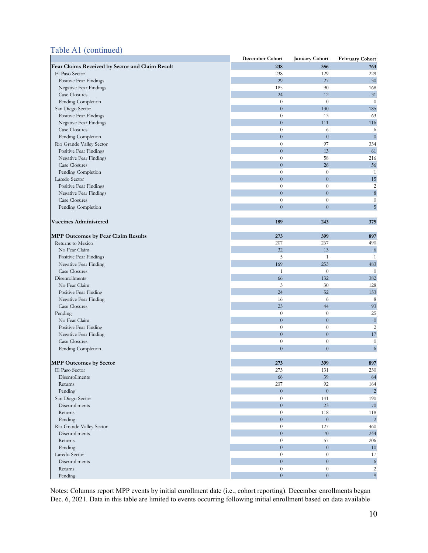#### Table A1 (continued)

|                                                 | <b>December Cohort</b> | <b>January Cohort</b> | <b>February Cohort</b>  |
|-------------------------------------------------|------------------------|-----------------------|-------------------------|
| Fear Claims Received by Sector and Claim Result | 238                    | 356                   | 763                     |
| El Paso Sector                                  | 238                    | 129                   | 229                     |
| Positive Fear Findings                          | 29                     | 27                    | 30                      |
| Negative Fear Findings                          | 185                    | 90                    | 168                     |
| Case Closures                                   | 24                     | 12                    | 31                      |
| Pending Completion                              | $\theta$               | $\theta$              | $\theta$                |
| San Diego Sector                                | $\overline{0}$         | 130                   | 185                     |
| Positive Fear Findings                          | $\theta$               | 13                    | 63                      |
| Negative Fear Findings                          | $\overline{0}$         | 111                   | 116                     |
| <b>Case Closures</b>                            | $\boldsymbol{0}$       | 6                     | 6                       |
| Pending Completion                              | $\overline{0}$         | $\overline{0}$        | $\boldsymbol{0}$        |
| Rio Grande Valley Sector                        | $\boldsymbol{0}$       | 97                    | 334                     |
| Positive Fear Findings                          | $\overline{0}$         | 13                    | 61                      |
| Negative Fear Findings                          | $\boldsymbol{0}$       | 58                    | 216                     |
| <b>Case Closures</b>                            | $\overline{0}$         | 26                    | 56                      |
| Pending Completion                              | $\theta$               | $\theta$              | $\mathbf{1}$            |
| Laredo Sector                                   | $\overline{0}$         | $\overline{0}$        | 15                      |
| Positive Fear Findings                          | $\boldsymbol{0}$       | $\theta$              | $\overline{\mathbf{c}}$ |
| Negative Fear Findings                          | $\overline{0}$         | $\overline{0}$        | $\boldsymbol{8}$        |
| <b>Case Closures</b>                            | $\boldsymbol{0}$       | $\overline{0}$        | $\boldsymbol{0}$        |
| Pending Completion                              | $\overline{0}$         | $\overline{0}$        | 5                       |
|                                                 |                        |                       |                         |
| <b>Vaccines Administered</b>                    | 189                    | 243                   | 375                     |
|                                                 |                        |                       |                         |
| MPP Outcomes by Fear Claim Results              | 273                    | 399                   | 897                     |
| Returns to Mexico                               | 207                    | 267                   | 490                     |
| No Fear Claim                                   | 32                     | 13                    | 6                       |
| Positive Fear Findings                          | 5                      | 1                     | $\mathbf{1}$            |
| Negative Fear Finding                           | 169                    | 253                   | 483                     |
| Case Closures                                   | $\mathbf{1}$           | $\theta$              | $\overline{0}$          |
| Disenrollments                                  | 66                     | 132                   |                         |
| No Fear Claim                                   | 3                      | 30                    | 382                     |
|                                                 | 24                     | 52                    | 128<br>153              |
| Positive Fear Finding                           |                        |                       |                         |
| Negative Fear Finding<br>Case Closures          | 16<br>23               | 6<br>44               | 8<br>93                 |
|                                                 | $\theta$               | $\theta$              | 25                      |
| Pending<br>No Fear Claim                        | $\overline{0}$         | $\overline{0}$        | $\boldsymbol{0}$        |
|                                                 | $\theta$               | $\boldsymbol{0}$      | $\overline{c}$          |
| Positive Fear Finding                           | $\overline{0}$         | $\overline{0}$        |                         |
| Negative Fear Finding<br><b>Case Closures</b>   |                        |                       | 17                      |
|                                                 | $\boldsymbol{0}$       | $\theta$              | $\boldsymbol{0}$        |
| Pending Completion                              | $\overline{0}$         | $\overline{0}$        | $\sqrt{6}$              |
|                                                 |                        |                       |                         |
| <b>MPP Outcomes by Sector</b>                   | 273                    | 399                   | 897                     |
| El Paso Sector                                  | 2/3                    | 151                   | 230                     |
| Disenrollments                                  | 66                     | 39                    | 64                      |
| Returns                                         | 207                    | 92                    | 164                     |
| Pending                                         | $\overline{0}$         | $\overline{0}$        | $\overline{c}$          |
| San Diego Sector                                | $\theta$               | 141                   | 190                     |
| Disenrollments                                  | $\overline{0}$         | 23                    | 70                      |
| Returns                                         | $\theta$               | 118                   | 118                     |
| Pending                                         | $\overline{0}$         | $\overline{0}$        | $\mathbf{2}$            |
| Rio Grande Valley Sector                        | $\boldsymbol{0}$       | 127                   | 460                     |
| Disenrollments                                  | $\overline{0}$         | $70\,$                | 244                     |
| Returns                                         | $\boldsymbol{0}$       | 57                    | 206                     |
| Pending                                         | $\overline{0}$         | $\overline{0}$        | 10                      |
| Laredo Sector                                   | $\boldsymbol{0}$       | $\theta$              | 17                      |
| Disenrollments                                  | $\overline{0}$         | $\overline{0}$        | $\boldsymbol{6}$        |
| Returns                                         | $\boldsymbol{0}$       | $\overline{0}$        | $\frac{2}{9}$           |
| Pending                                         | $\overline{0}$         | $\overline{0}$        |                         |

Notes: Columns report MPP events by initial enrollment date (i.e., cohort reporting). December enrollments began Dec. 6, 2021. Data in this table are limited to events occurring following initial enrollment based on data available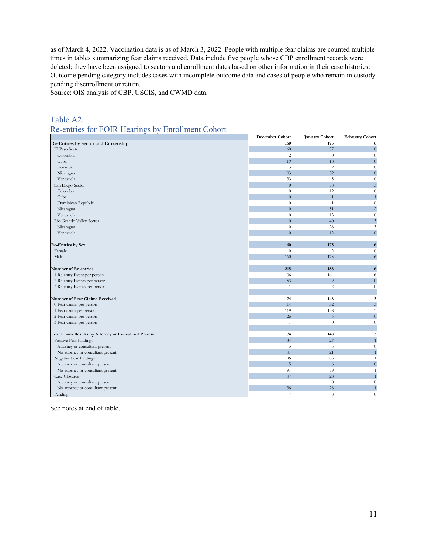as of March 4, 2022. Vaccination data is as of March 3, 2022. People with multiple fear claims are counted multiple times in tables summarizing fear claims received. Data include five people whose CBP enrollment records were deleted; they have been assigned to sectors and enrollment dates based on other information in their case histories. Outcome pending category includes cases with incomplete outcome data and cases of people who remain in custody pending disenrollment or return.

Source: OIS analysis of CBP, USCIS, and CWMD data.

#### Table A2. Re-entries for EOIR Hearings by Enrollment Cohort

|                                                      | December Cohort | <b>January Cohort</b> | <b>February Cohort</b> |
|------------------------------------------------------|-----------------|-----------------------|------------------------|
| Re-Entries by Sector and Citizenship                 | 160             | 175                   |                        |
| El Paso Sector                                       | 160             | 57                    | $\overline{0}$         |
| Colombia                                             | 2               | $\theta$              | $\Omega$               |
| Cuba                                                 | 19              | 18                    | $\sqrt{ }$             |
| Ecuador                                              | 3               | $\overline{c}$        |                        |
| Nicaragua                                            | 103             | 32                    |                        |
| Venezuela                                            | 33              | 5                     |                        |
| San Diego Sector                                     | $\theta$        | 78                    |                        |
| Colombia                                             | $\theta$        | 12                    |                        |
| Cuba                                                 | $\mathbf{0}$    | $\mathbf{1}$          |                        |
| Dominican Republic                                   | $\theta$        | $\mathbf{1}$          |                        |
| Nicaragua                                            | $\overline{0}$  | 51                    |                        |
| Venezuela                                            | $\theta$        | 13                    |                        |
| Rio Grande Valley Sector                             | $\Omega$        | 40                    |                        |
| Nicaragua                                            | $\theta$        | $28\,$                |                        |
| Venezuela                                            | $\overline{0}$  | 12                    | $\sqrt{ }$             |
|                                                      |                 |                       |                        |
| Re-Entries by Sex                                    | 160             | 175                   |                        |
| Female                                               | $\theta$        | $\overline{c}$        | ſ                      |
| Male                                                 | 160             | 173                   | 6                      |
|                                                      |                 |                       |                        |
| Number of Re-entries                                 | 215             | 188                   | 6                      |
| 1 Re-entry Event per person                          | 106             | 164                   | 6                      |
| 2 Re-entry Events per person                         | 53              | 9                     |                        |
| 3 Re-entry Events per person                         | $\mathbf{1}$    | $\overline{c}$        | $\sqrt{2}$             |
|                                                      |                 |                       |                        |
| Number of Fear Claims Received                       | 174             | 148                   | 3                      |
| 0 Fear claims per person                             | 14              | 32                    |                        |
| 1 Fear claim per person                              | 119             | 138                   |                        |
| 2 Fear claims per person                             | 26              | 5                     |                        |
| 3 Fear claims per person                             | $\mathbf{1}$    | $\theta$              |                        |
|                                                      |                 |                       |                        |
| Fear Claim Results by Attorney or Consultant Present | 174             | 148                   |                        |
| Positive Fear Findings                               | 34              | 27                    |                        |
| Attorney or consultant present                       | 3               | 6                     |                        |
| No attorney or consultant present                    | 31              | 21                    |                        |
| Negative Fear Findings                               | 96              | 85                    |                        |
| Attorney or consultant present                       | $\overline{5}$  | 6                     |                        |
| No attorney or consultant present                    | 91              | 79                    |                        |
| Case Closures                                        | 37              | 28                    |                        |
| Attorney or consultant present                       | $\overline{1}$  | $\theta$              |                        |
| No attorney or consultant present                    | 36              | 28                    |                        |
| Pending                                              | $\overline{7}$  | 8                     |                        |

See notes at end of table.